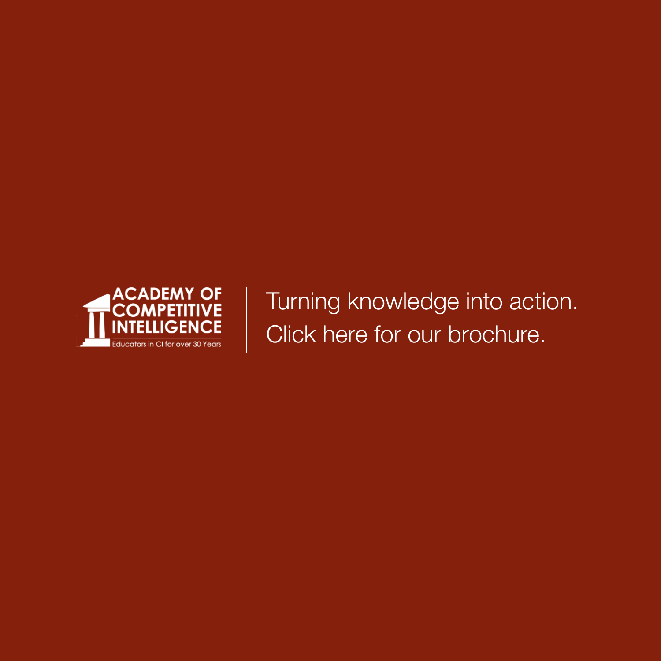

Turning knowledge into action. Click here for our brochure.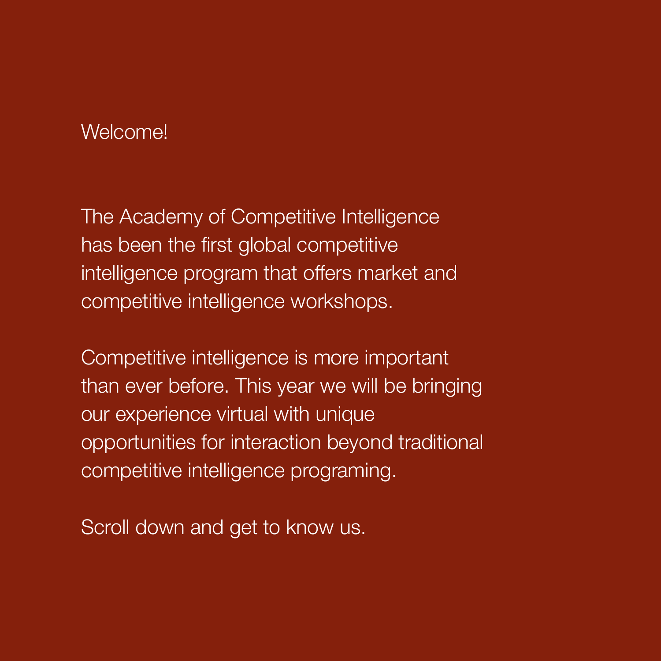## Welcome!

Competitive intelligence is more important than ever before. This year we will be bringing our experience virtual with unique opportunities for interaction beyond traditional competitive intelligence programing.

Scroll down and get to know us.

The Academy of Competitive Intelligence has been the first global competitive intelligence program that offers market and competitive intelligence workshops.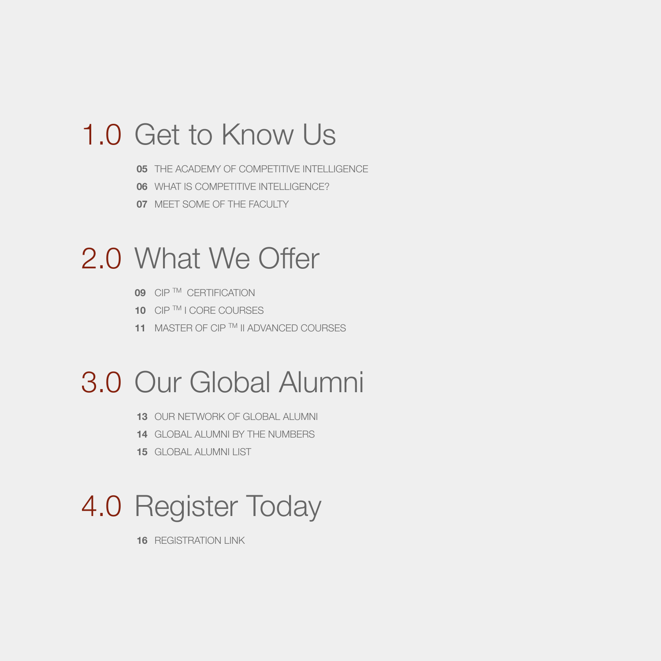# 1.0 Get to Know Us

# 2.0 What We Offer

**05** THE ACADEMY OF COMPETITIVE INTELLIGENCE

# 3.0 Our Global Alumni

**06** WHAT IS COMPETITIVE INTELLIGENCE?

**11 MASTER OF CIP ™ II ADVANCED COURSES** 

**09** CIP™ CERTIFICATION

10 CIP TM I CORE COURSES

**07** MEET SOME OF THE FACULTY

4.0 Register Today

**13** OUR NETWORK OF GLOBAL ALUMNI

**14** GLOBAL ALUMNI BY THE NUMBERS

**15** GLOBAL ALUMNI LIST

**16** REGISTRATION LINK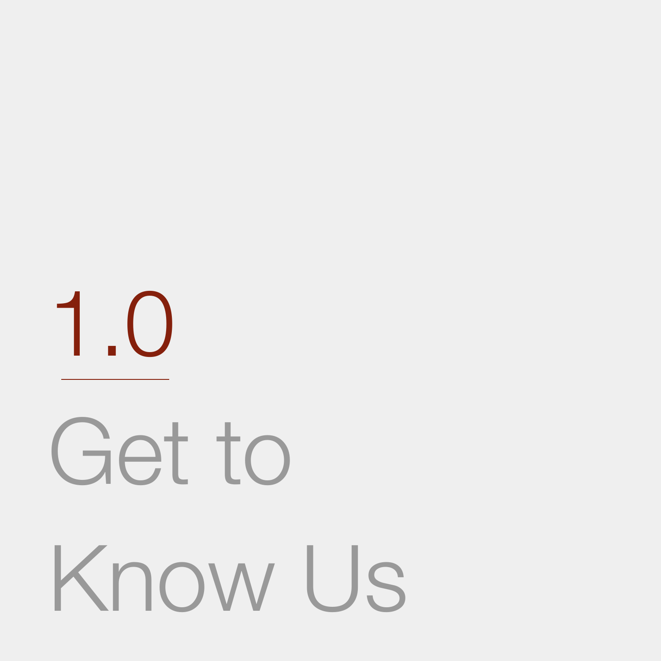

# Get to

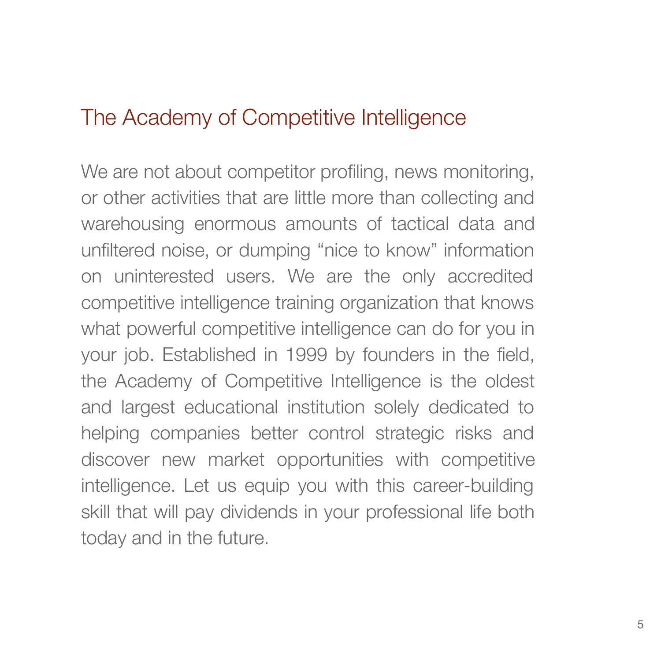## The Academy of Competitive Intelligence

We are not about competitor profiling, news monitoring, or other activities that are little more than collecting and warehousing enormous amounts of tactical data and unfiltered noise, or dumping "nice to know" information on uninterested users. We are the only accredited competitive intelligence training organization that knows what powerful competitive intelligence can do for you in your job. Established in 1999 by founders in the field, the Academy of Competitive Intelligence is the oldest and largest educational institution solely dedicated to helping companies better control strategic risks and discover new market opportunities with competitive intelligence. Let us equip you with this career-building skill that will pay dividends in your professional life both today and in the future.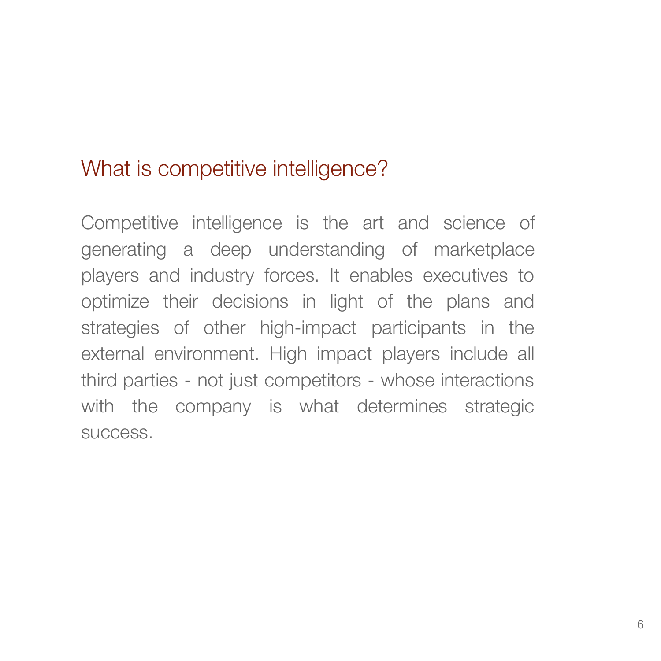## What is competitive intelligence?

Competitive intelligence is the art and science of generating a deep understanding of marketplace players and industry forces. It enables executives to optimize their decisions in light of the plans and strategies of other high-impact participants in the external environment. High impact players include all third parties - not just competitors - whose interactions with the company is what determines strategic success.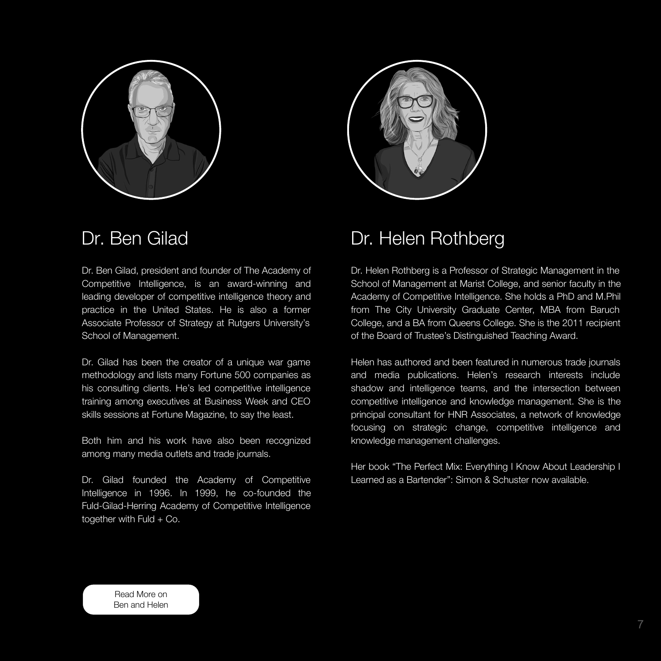



Dr. Ben Gilad, president and founder of The Academy of

## Dr. Ben Gilad Dr. Helen Rothberg

7

Competitive Intelligence, is an award-winning and leading developer of competitive intelligence theory and practice in the United States. He is also a former Associate Professor of Strategy at Rutgers University's School of Management.

Dr. Gilad founded the Academy of Competitive Intelligence in 1996. In 1999, he co-founded the Fuld-Gilad-Herring Academy of Competitive Intelligence together with Fuld + Co.

Dr. Gilad has been the creator of a unique war game methodology and lists many Fortune 500 companies as his consulting clients. He's led competitive intelligence training among executives at Business Week and CEO skills sessions at Fortune Magazine, to say the least.

School of Management at Marist College, and senior faculty in the Academy of Competitive Intelligence. She holds a PhD and M.Phil from The City University Graduate Center, MBA from Baruch College, and a BA from Queens College. She is the 2011 recipient of the Board of Trustee's Distinguished Teaching Award.

Both him and his work have also been recognized among many media outlets and trade journals.

Dr. Helen Rothberg is a Professor of Strategic Management in the

Helen has authored and been featured in numerous trade journals and media publications. Helen's research interests include shadow and intelligence teams, and the intersection between competitive intelligence and knowledge management. She is the principal consultant for HNR Associates, a network of knowledge focusing on strategic change, competitive intelligence and knowledge management challenges.

Her book "The Perfect Mix: Everything I Know About Leadership I Learned as a Bartender": Simon & Schuster now available.

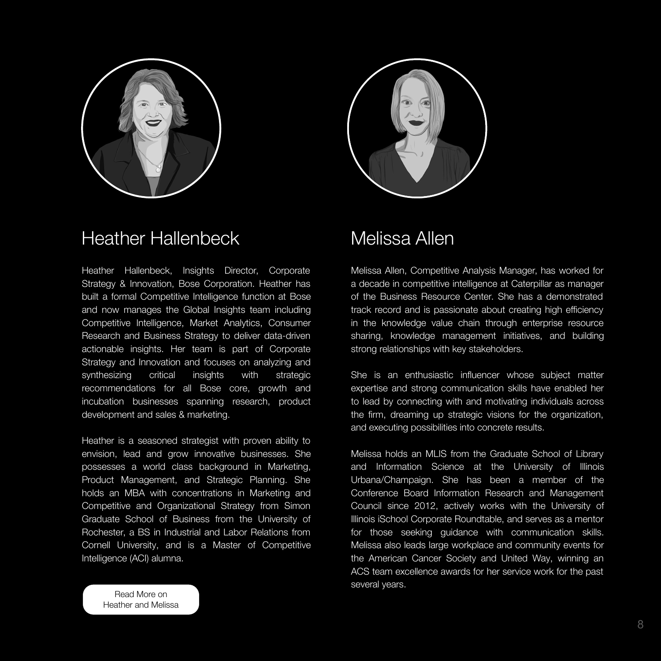



## Heather Hallenbeck Melissa Allen

Heather Hallenbeck, Insights Director, Corporate

8

Strategy & Innovation, Bose Corporation. Heather has built a formal Competitive Intelligence function at Bose and now manages the Global Insights team including Competitive Intelligence, Market Analytics, Consumer Research and Business Strategy to deliver data-driven actionable insights. Her team is part of Corporate Strategy and Innovation and focuses on analyzing and synthesizing critical insights with strategic recommendations for all Bose core, growth and incubation businesses spanning research, product development and sales & marketing.

Heather is a seasoned strategist with proven ability to envision, lead and grow innovative businesses. She possesses a world class background in Marketing, Product Management, and Strategic Planning. She holds an MBA with concentrations in Marketing and Competitive and Organizational Strategy from Simon Graduate School of Business from the University of Rochester, a BS in Industrial and Labor Relations from Cornell University, and is a Master of Competitive



Melissa Allen, Competitive Analysis Manager, has worked for

a decade in competitive intelligence at Caterpillar as manager of the Business Resource Center. She has a demonstrated track record and is passionate about creating high efficiency in the knowledge value chain through enterprise resource sharing, knowledge management initiatives, and building strong relationships with key stakeholders.

She is an enthusiastic influencer whose subject matter expertise and strong communication skills have enabled her to lead by connecting with and motivating individuals across the firm, dreaming up strategic visions for the organization, and executing possibilities into concrete results.

Melissa holds an MLIS from the Graduate School of Library and Information Science at the University of Illinois Urbana/Champaign. She has been a member of the Conference Board Information Research and Management Council since 2012, actively works with the University of Illinois iSchool Corporate Roundtable, and serves as a mentor for those seeking guidance with communication skills. Melissa also leads large workplace and community events for

### the American Cancer Society and United Way, winning an ACS team excellence awards for her service work for the past

several years.

Read More on [Heather and Melissa](https://academyci.com/about-aci/#faculty)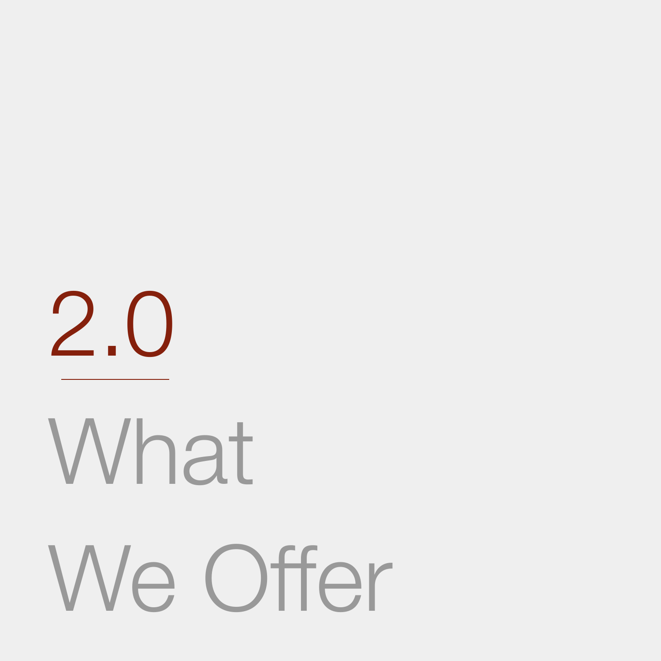

# What

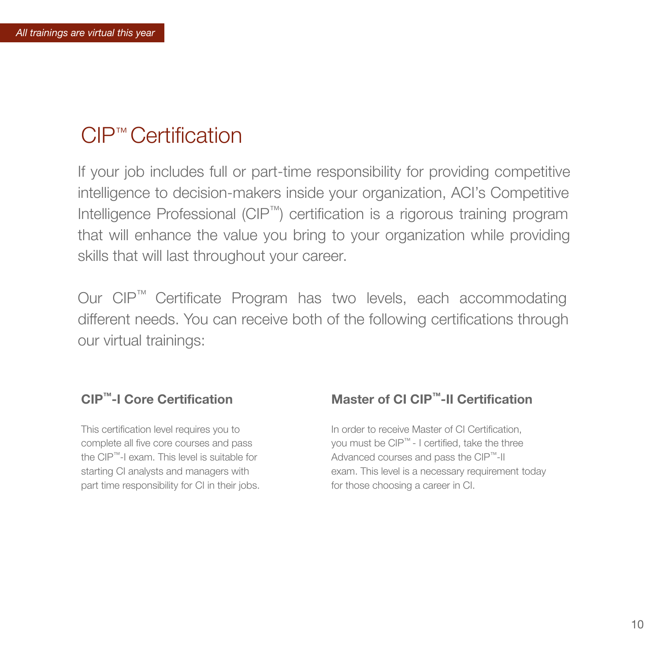### **CIP™-I Core Certification**

This certification level requires you to complete all five core courses and pass the CIP™-I exam. This level is suitable for starting CI analysts and managers with part time responsibility for CI in their jobs.

## CIP™ Certification

If your job includes full or part-time responsibility for providing competitive intelligence to decision-makers inside your organization, ACI's Competitive Intelligence Professional (CIP™) certification is a rigorous training program that will enhance the value you bring to your organization while providing skills that will last throughout your career.

Our CIP™ Certificate Program has two levels, each accommodating different needs. You can receive both of the following certifications through our virtual trainings:

## **Master of CI CIP™-II Certification**

In order to receive Master of CI Certification, you must be  $\text{CIP}^{\text{TM}}$  - I certified, take the three Advanced courses and pass the CIP<sup>™-II</sup> exam. This level is a necessary requirement today for those choosing a career in CI.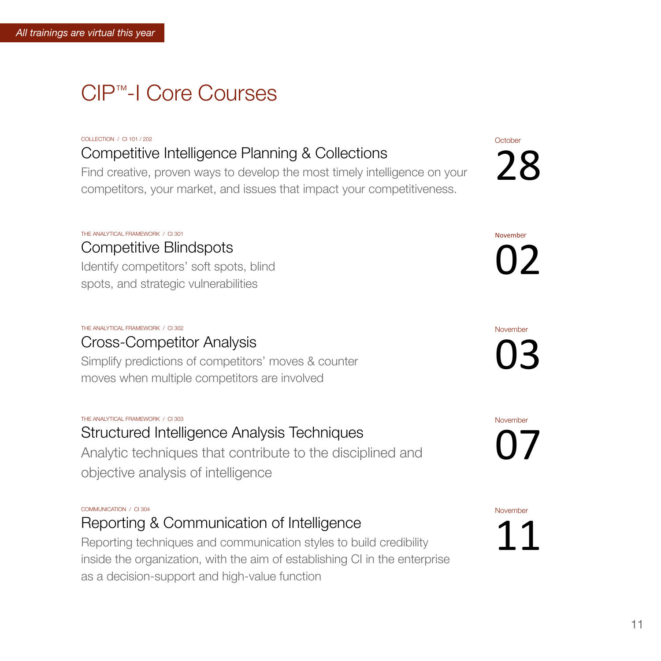# CIP™-I Core Courses

COLLECTION / CI 101 / 202

## Competitive Intelligence Planning & Collections

**October** 28

Find creative, proven ways to develop the most timely intelligence on your competitors, your market, and issues that impact your competitiveness.

THE ANALYTICAL FRAMEWORK / CI 301 Competitive Blindspots Identify competitors' soft spots, blind

November 07

November

02

#### THE ANALYTICAL FRAMEWORK / CI 302

## Cross-Competitor Analysis

Simplify predictions of competitors' moves & counter moves when multiple competitors are involved

November

03

#### THE ANALYTICAL FRAMEWORK / CI 303

# Structured Intelligence Analysis Techniques

Analytic techniques that contribute to the disciplined and objective analysis of intelligence

COMMUNICATION / CI 304 Reporting & Communication of Intelligence Reporting techniques and communication styles to build credibility

### inside the organization, with the aim of establishing CI in the enterprise

as a decision-support and high-value function

November 11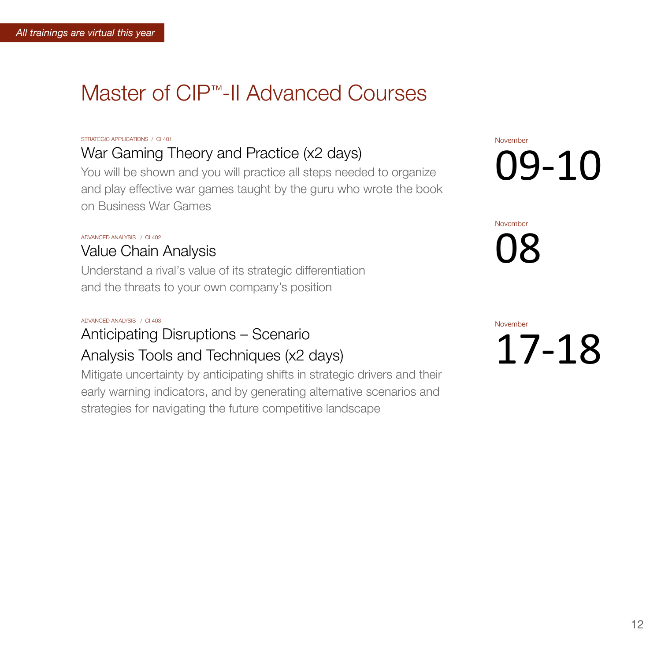# Master of CIP™-II Advanced Courses

#### STRATEGIC APPLICATIONS / CI 401

## War Gaming Theory and Practice (x2 days)

You will be shown and you will practice all steps needed to organize and play effective war games taught by the guru who wrote the book on Business War Games

November

# 09-10

ADVANCED ANALYSIS / CI 402

## Value Chain Analysis

Understand a rival's value of its strategic differentiation

and the threats to your own company's position



# ADVANCED ANALYSIS / CI 403 Anticipating Disruptions – Scenario Analysis Tools and Techniques (x2 days)

**November** 

Mitigate uncertainty by anticipating shifts in strategic drivers and their early warning indicators, and by generating alternative scenarios and strategies for navigating the future competitive landscape

17-18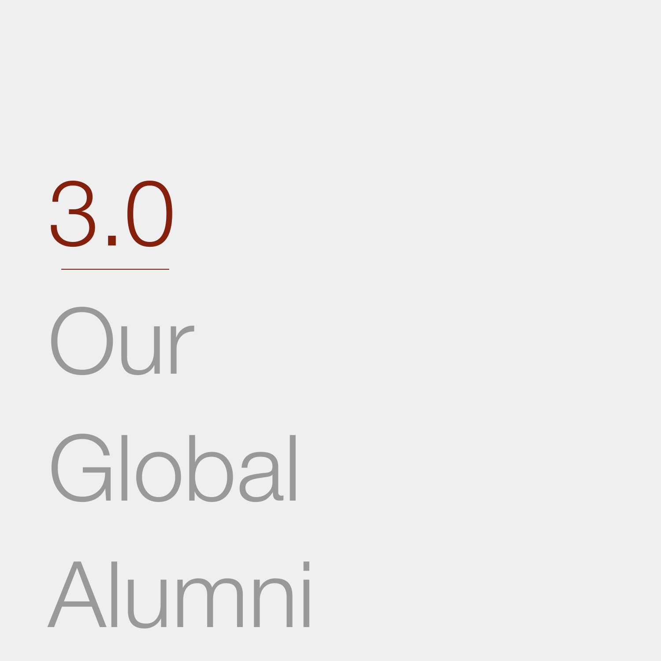



# Global

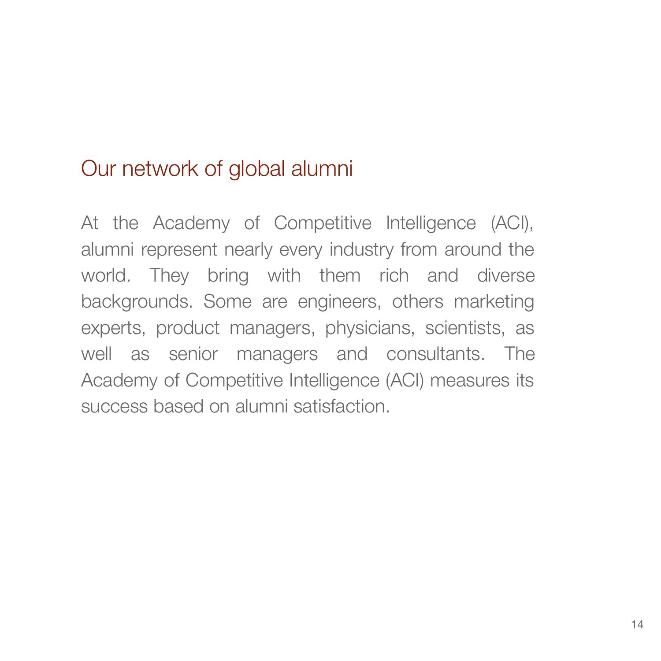## Our network of global alumni

At the Academy of Competitive Intelligence (ACI), alumni represent nearly every industry from around the world. They bring with them rich and diverse backgrounds. Some are engineers, others marketing experts, product managers, physicians, scientists, as well as senior managers and consultants. The Academy of Competitive Intelligence (ACI) measures its success based on alumni satisfaction.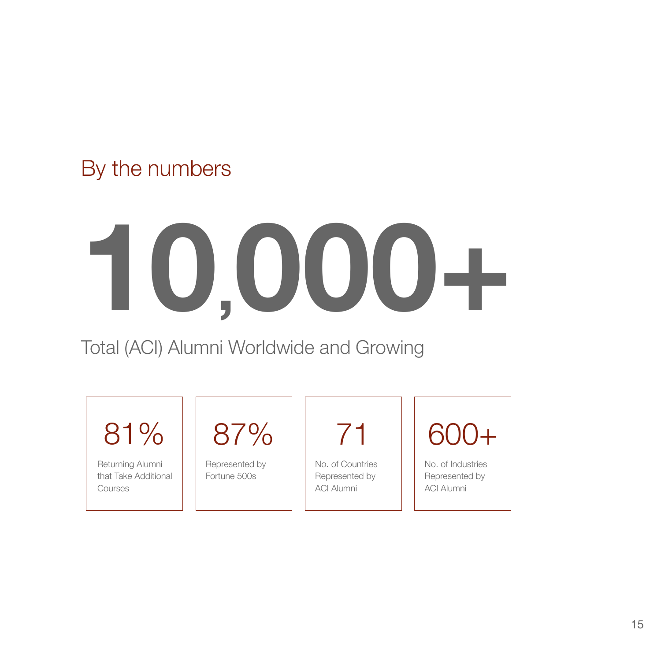By the numbers

15

# **10,000+**



Returning Alumni that Take Additional **Courses** 

Total (ACI) Alumni Worldwide and Growing

81%



Represented by Fortune 500s

No. of Countries Represented by ACI Alumni

No. of Industries Represented by ACI Alumni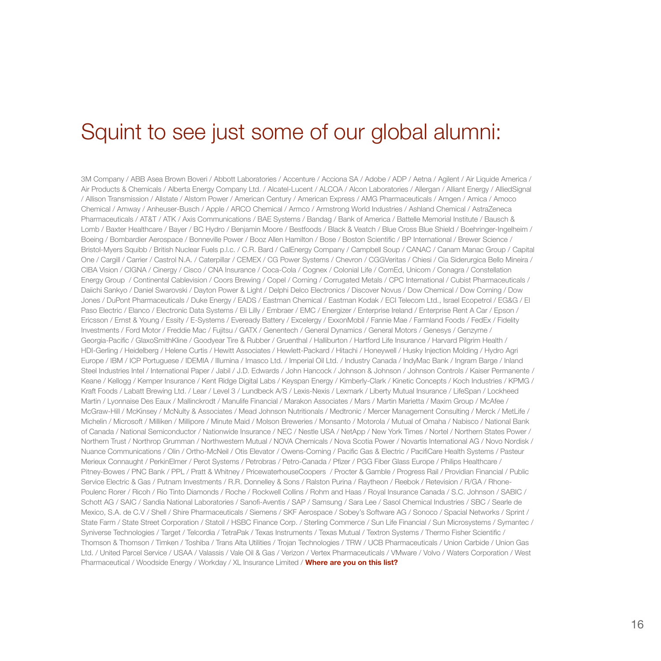3M Company / ABB Asea Brown Boveri / Abbott Laboratories / Accenture / Acciona SA / Adobe / ADP / Aetna / Agilent / Air Liquide America / Air Products & Chemicals / Alberta Energy Company Ltd. / Alcatel-Lucent / ALCOA / Alcon Laboratories / Allergan / Alliant Energy / AlliedSignal / Allison Transmission / Allstate / Alstom Power / American Century / American Express / AMG Pharmaceuticals / Amgen / Amica / Amoco Chemical / Amway / Anheuser-Busch / Apple / ARCO Chemical / Armco / Armstrong World Industries / Ashland Chemical / AstraZeneca Pharmaceuticals / AT&T / ATK / Axis Communications / BAE Systems / Bandag / Bank of America / Battelle Memorial Institute / Bausch & Lomb / Baxter Healthcare / Bayer / BC Hydro / Benjamin Moore / Bestfoods / Black & Veatch / Blue Cross Blue Shield / Boehringer-Ingelheim / Boeing / Bombardier Aerospace / Bonneville Power / Booz Allen Hamilton / Bose / Boston Scientific / BP International / Brewer Science / Bristol-Myers Squibb / British Nuclear Fuels p.l.c. / C.R. Bard / CalEnergy Company / Campbell Soup / CANAC / Canam Manac Group / Capital One / Cargill / Carrier / Castrol N.A. / Caterpillar / CEMEX / CG Power Systems / Chevron / CGGVeritas / Chiesi / Cia Siderurgica Bello Mineira / CIBA Vision / CIGNA / Cinergy / Cisco / CNA Insurance / Coca-Cola / Cognex / Colonial Life / ComEd, Unicom / Conagra / Constellation Energy Group / Continental Cablevision / Coors Brewing / Copel / Corning / Corrugated Metals / CPC International / Cubist Pharmaceuticals / Daiichi Sankyo / Daniel Swarovski / Dayton Power & Light / Delphi Delco Electronics / Discover Novus / Dow Chemical / Dow Corning / Dow Jones / DuPont Pharmaceuticals / Duke Energy / EADS / Eastman Chemical / Eastman Kodak / ECI Telecom Ltd., Israel Ecopetrol / EG&G / El Paso Electric / Elanco / Electronic Data Systems / Eli Lilly / Embraer / EMC / Energizer / Enterprise Ireland / Enterprise Rent A Car / Epson / Ericsson / Ernst & Young / Essity / E-Systems / Eveready Battery / Excelergy / ExxonMobil / Fannie Mae / Farmland Foods / FedEx / Fidelity Investments / Ford Motor / Freddie Mac / Fujitsu / GATX / Genentech / General Dynamics / General Motors / Genesys / Genzyme / Georgia-Pacific / GlaxoSmithKline / Goodyear Tire & Rubber / Gruenthal / Halliburton / Hartford Life Insurance / Harvard Pilgrim Health / HDI-Gerling / Heidelberg / Helene Curtis / Hewitt Associates / Hewlett-Packard / Hitachi / Honeywell / Husky Injection Molding / Hydro Agri Europe / IBM / ICP Portuguese / IDEMIA / Illumina / Imasco Ltd. / Imperial Oil Ltd. / Industry Canada / IndyMac Bank / Ingram Barge / Inland Steel Industries Intel / International Paper / Jabil / J.D. Edwards / John Hancock / Johnson & Johnson / Johnson Controls / Kaiser Permanente / Keane / Kellogg / Kemper Insurance / Kent Ridge Digital Labs / Keyspan Energy / Kimberly-Clark / Kinetic Concepts / Koch Industries / KPMG / Kraft Foods / Labatt Brewing Ltd. / Lear / Level 3 / Lundbeck A/S / Lexis-Nexis / Lexmark / Liberty Mutual Insurance / LifeSpan / Lockheed Martin / Lyonnaise Des Eaux / Mallinckrodt / Manulife Financial / Marakon Associates / Mars / Martin Marietta / Maxim Group / McAfee / McGraw-Hill / McKinsey / McNulty & Associates / Mead Johnson Nutritionals / Medtronic / Mercer Management Consulting / Merck / MetLife / Michelin / Microsoft / Milliken / Millipore / Minute Maid / Molson Breweries / Monsanto / Motorola / Mutual of Omaha / Nabisco / National Bank of Canada / National Semiconductor / Nationwide Insurance / NEC / Nestle USA / NetApp / New York Times / Nortel / Northern States Power / Northern Trust / Northrop Grumman / Northwestern Mutual / NOVA Chemicals / Nova Scotia Power / Novartis International AG / Novo Nordisk / Nuance Communications / Olin / Ortho-McNeil / Otis Elevator / Owens-Corning / Pacific Gas & Electric / PacifiCare Health Systems / Pasteur Merieux Connaught / PerkinElmer / Perot Systems / Petrobras / Petro-Canada / Pfizer / PGG Fiber Glass Europe / Philips Healthcare / Pitney-Bowes / PNC Bank / PPL / Pratt & Whitney / PricewaterhouseCoopers / Procter & Gamble / Progress Rail / Providian Financial / Public Service Electric & Gas / Putnam Investments / R.R. Donnelley & Sons / Ralston Purina / Raytheon / Reebok / Retevision / R/GA / Rhone-Poulenc Rorer / Ricoh / Rio Tinto Diamonds / Roche / Rockwell Collins / Rohm and Haas / Royal Insurance Canada / S.C. Johnson / SABIC / Schott AG / SAIC / Sandia National Laboratories / Sanofi-Aventis / SAP / Samsung / Sara Lee / Sasol Chemical Industries / SBC / Searle de Mexico, S.A. de C.V / Shell / Shire Pharmaceuticals / Siemens / SKF Aerospace / Sobey's Software AG / Sonoco / Spacial Networks / Sprint / State Farm / State Street Corporation / Statoil / HSBC Finance Corp. / Sterling Commerce / Sun Life Financial / Sun Microsystems / Symantec / Syniverse Technologies / Target / Telcordia / TetraPak / Texas Instruments / Texas Mutual / Textron Systems / Thermo Fisher Scientific / Thomson & Thomson / Timken / Toshiba / Trans Alta Utilities / Trojan Technologies / TRW / UCB Pharmaceuticals / Union Carbide / Union Gas

Ltd. / United Parcel Service / USAA / Valassis / Vale Oil & Gas / Verizon / Vertex Pharmaceuticals / VMware / Volvo / Waters Corporation / West Pharmaceutical / Woodside Energy / Workday / XL Insurance Limited / **Where are you on this list?**

## Squint to see just some of our global alumni: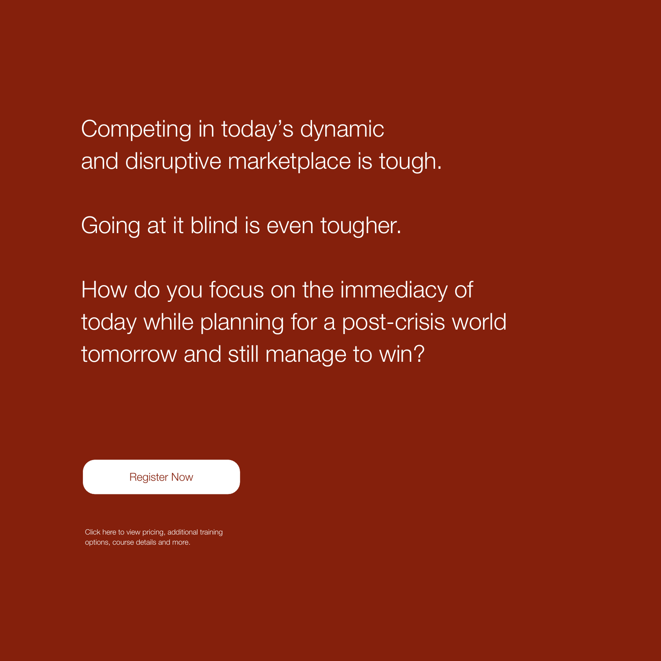Click here to view pricing, additional training options, course details and more.

Competing in today's dynamic and disruptive marketplace is tough.

Going at it blind is even tougher.

How do you focus on the immediacy of today while planning for a post-crisis world tomorrow and still manage to win?

[Register Now](https://academyci.com/)